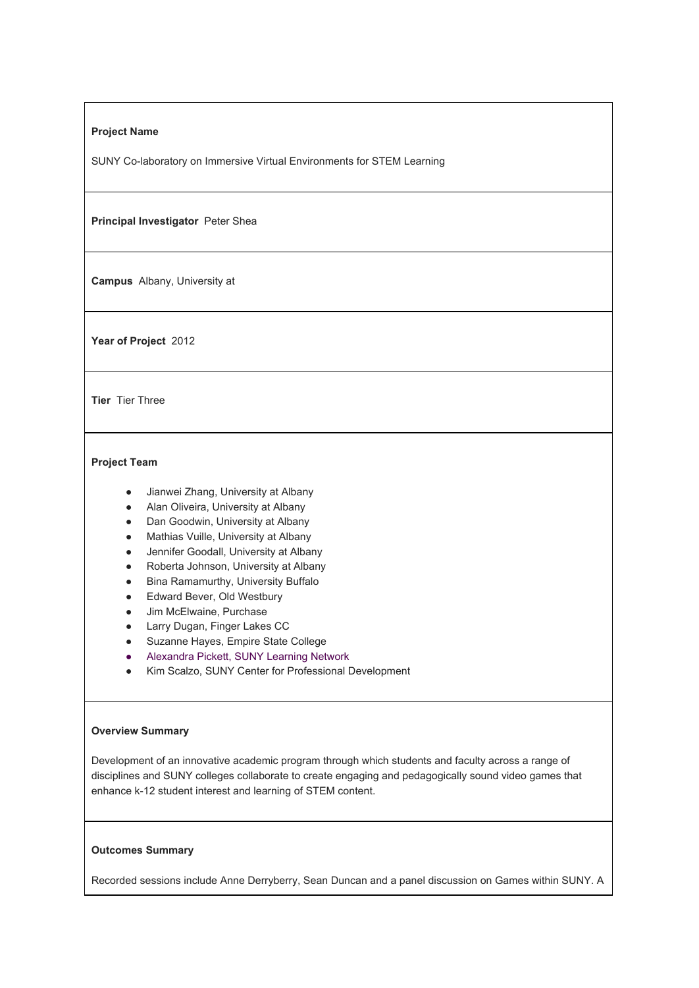### **Project Name**

SUNY Co-laboratory on Immersive Virtual Environments for STEM Learning

**Principal Investigator** Peter Shea

**Campus** Albany, University at

Year of Project 2012

**Tier** Tier Three

# **Project Team**

- Jianwei Zhang, University at Albany
- Alan Oliveira, University at Albany
- Dan Goodwin, University at Albany
- Mathias Vuille, University at Albany
- Jennifer Goodall, University at Albany
- Roberta Johnson, University at Albany
- Bina Ramamurthy, University Buffalo
- Edward Bever, Old Westbury
- Jim McElwaine, Purchase
- Larry Dugan, Finger Lakes CC
- Suzanne Hayes, Empire State College
- Alexandra Pickett, SUNY Learning Network
- Kim Scalzo, SUNY Center for Professional Development

# **Overview Summary**

Development of an innovative academic program through which students and faculty across a range of disciplines and SUNY colleges collaborate to create engaging and pedagogically sound video games that enhance k-12 student interest and learning of STEM content.

# **Outcomes Summary**

Recorded sessions include Anne Derryberry, Sean Duncan and a panel discussion on Games within SUNY. A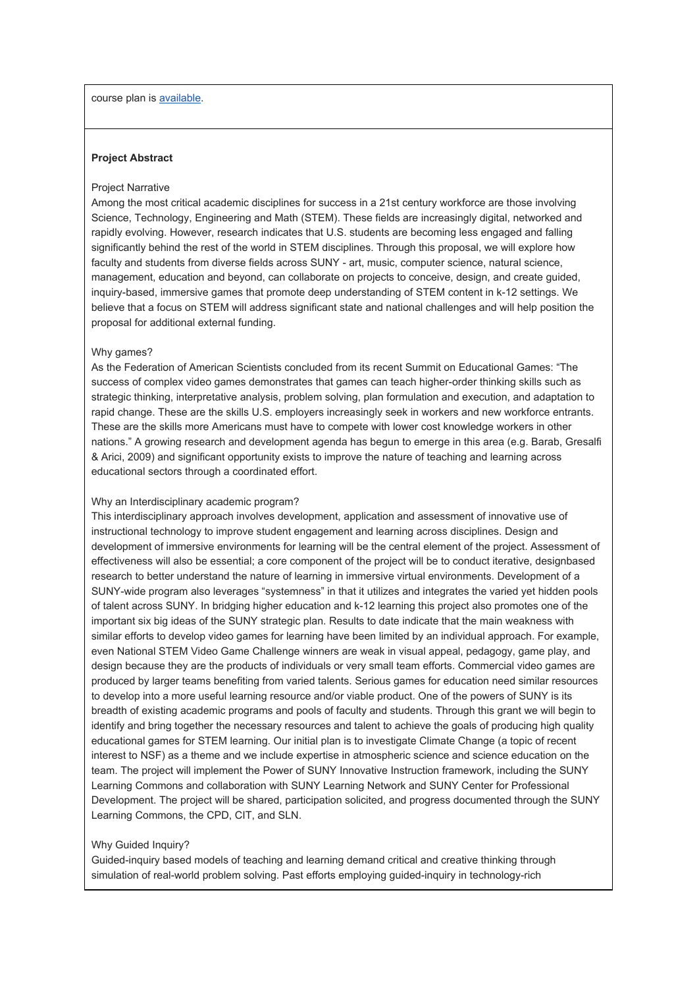course plan is [available](http://commons.suny.edu/iitg/suny-co-laboratory-on-immersive-virtual-environments-for-stem-learning/).

# **Project Abstract**

#### Project Narrative

Among the most critical academic disciplines for success in a 21st century workforce are those involving Science, Technology, Engineering and Math (STEM). These fields are increasingly digital, networked and rapidly evolving. However, research indicates that U.S. students are becoming less engaged and falling significantly behind the rest of the world in STEM disciplines. Through this proposal, we will explore how faculty and students from diverse fields across SUNY - art, music, computer science, natural science, management, education and beyond, can collaborate on projects to conceive, design, and create guided, inquiry-based, immersive games that promote deep understanding of STEM content in k-12 settings. We believe that a focus on STEM will address significant state and national challenges and will help position the proposal for additional external funding.

#### Why games?

As the Federation of American Scientists concluded from its recent Summit on Educational Games: "The success of complex video games demonstrates that games can teach higher-order thinking skills such as strategic thinking, interpretative analysis, problem solving, plan formulation and execution, and adaptation to rapid change. These are the skills U.S. employers increasingly seek in workers and new workforce entrants. These are the skills more Americans must have to compete with lower cost knowledge workers in other nations." A growing research and development agenda has begun to emerge in this area (e.g. Barab, Gresalfi & Arici, 2009) and significant opportunity exists to improve the nature of teaching and learning across educational sectors through a coordinated effort.

## Why an Interdisciplinary academic program?

This interdisciplinary approach involves development, application and assessment of innovative use of instructional technology to improve student engagement and learning across disciplines. Design and development of immersive environments for learning will be the central element of the project. Assessment of effectiveness will also be essential; a core component of the project will be to conduct iterative, designbased research to better understand the nature of learning in immersive virtual environments. Development of a SUNY-wide program also leverages "systemness" in that it utilizes and integrates the varied yet hidden pools of talent across SUNY. In bridging higher education and k-12 learning this project also promotes one of the important six big ideas of the SUNY strategic plan. Results to date indicate that the main weakness with similar efforts to develop video games for learning have been limited by an individual approach. For example, even National STEM Video Game Challenge winners are weak in visual appeal, pedagogy, game play, and design because they are the products of individuals or very small team efforts. Commercial video games are produced by larger teams benefiting from varied talents. Serious games for education need similar resources to develop into a more useful learning resource and/or viable product. One of the powers of SUNY is its breadth of existing academic programs and pools of faculty and students. Through this grant we will begin to identify and bring together the necessary resources and talent to achieve the goals of producing high quality educational games for STEM learning. Our initial plan is to investigate Climate Change (a topic of recent interest to NSF) as a theme and we include expertise in atmospheric science and science education on the team. The project will implement the Power of SUNY Innovative Instruction framework, including the SUNY Learning Commons and collaboration with SUNY Learning Network and SUNY Center for Professional Development. The project will be shared, participation solicited, and progress documented through the SUNY Learning Commons, the CPD, CIT, and SLN.

#### Why Guided Inquiry?

Guided-inquiry based models of teaching and learning demand critical and creative thinking through simulation of real-world problem solving. Past efforts employing guided-inquiry in technology-rich